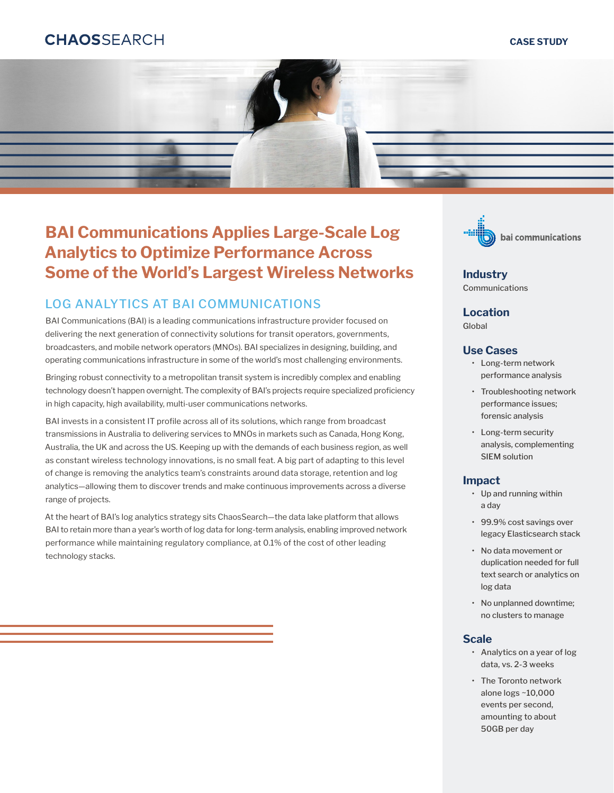# **CHAOSSFARCH**

#### **CASE STUDY**



# **BAI Communications Applies Large-Scale Log Analytics to Optimize Performance Across Some of the World's Largest Wireless Networks**

### LOG ANALYTICS AT BAI COMMUNICATIONS

BAI Communications (BAI) is a leading communications infrastructure provider focused on delivering the next generation of connectivity solutions for transit operators, governments, broadcasters, and mobile network operators (MNOs). BAI specializes in designing, building, and operating communications infrastructure in some of the world's most challenging environments.

Bringing robust connectivity to a metropolitan transit system is incredibly complex and enabling technology doesn't happen overnight. The complexity of BAI's projects require specialized proficiency in high capacity, high availability, multi-user communications networks.

BAI invests in a consistent IT profile across all of its solutions, which range from broadcast transmissions in Australia to delivering services to MNOs in markets such as Canada, Hong Kong, Australia, the UK and across the US. Keeping up with the demands of each business region, as well as constant wireless technology innovations, is no small feat. A big part of adapting to this level of change is removing the analytics team's constraints around data storage, retention and log analytics—allowing them to discover trends and make continuous improvements across a diverse range of projects.

At the heart of BAI's log analytics strategy sits ChaosSearch—the data lake platform that allows BAI to retain more than a year's worth of log data for long-term analysis, enabling improved network performance while maintaining regulatory compliance, at 0.1% of the cost of other leading technology stacks.



**Industry** Communications

#### **Location**

Global

#### **Use Cases**

- Long-term network performance analysis
- Troubleshooting network performance issues; forensic analysis
- Long-term security analysis, complementing SIEM solution

#### **Impact**

- Up and running within a day
- 99.9% cost savings over legacy Elasticsearch stack
- No data movement or duplication needed for full text search or analytics on log data
- No unplanned downtime; no clusters to manage

#### **Scale**

- Analytics on a year of log data, vs. 2-3 weeks
- The Toronto network alone logs ~10,000 events per second, amounting to about 50GB per day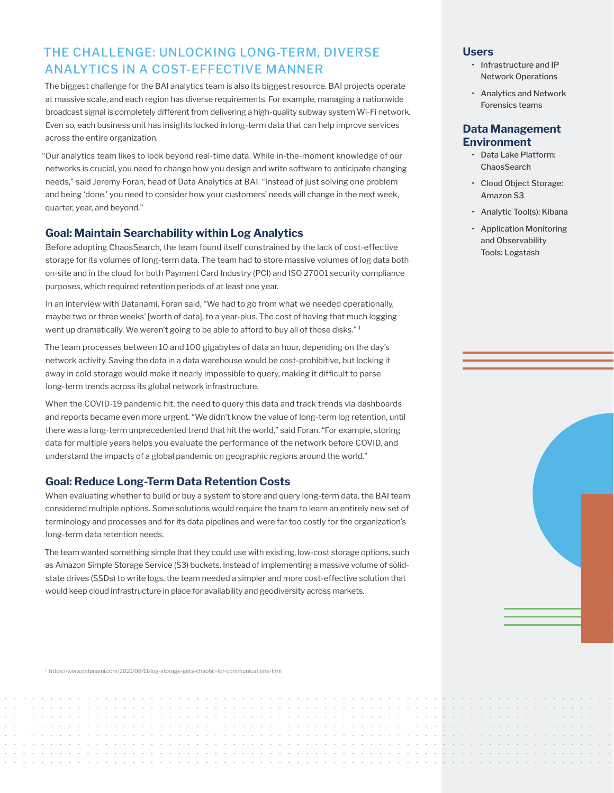## THE CHALLENGE: UNLOCKING LONG-TERM, DIVERSE ANALYTICS IN A COST-EFFECTIVE MANNER

The biggest challenge for the BAI analytics team is also its biggest resource. BAI projects operate at massive scale, and each region has diverse requirements. For example, managing a nationwide broadcast signal is completely different from delivering a high-quality subway system Wi-Fi network. Even so, each business unit has insights locked in long-term data that can help improve services across the entire organization.

"Our analytics team likes to look beyond real-time data. While in-the-moment knowledge of our networks is crucial, you need to change how you design and write software to anticipate changing needs," said Jeremy Foran, head of Data Analytics at BAI. "Instead of just solving one problem and being 'done,' you need to consider how your customers' needs will change in the next week, quarter, year, and beyond."

#### **Goal: Maintain Searchability within Log Analytics**

Before adopting ChaosSearch, the team found itself constrained by the lack of cost-effective storage for its volumes of long-term data. The team had to store massive volumes of log data both on-site and in the cloud for both Payment Card Industry (PCI) and ISO 27001 security compliance purposes, which required retention periods of at least one year.

In an interview with Datanami, Foran said, "We had to go from what we needed operationally, maybe two or three weeks' [worth of data], to a year-plus. The cost of having that much logging went up dramatically. We weren't going to be able to afford to buy all of those disks."<sup>1</sup>

The team processes between 10 and 100 gigabytes of data an hour, depending on the day's network activity. Saving the data in a data warehouse would be cost-prohibitive, but locking it away in cold storage would make it nearly impossible to query, making it difficult to parse long-term trends across its global network infrastructure.

When the COVID-19 pandemic hit, the need to query this data and track trends via dashboards and reports became even more urgent. "We didn't know the value of long-term log retention, until there was a long-term unprecedented trend that hit the world," said Foran. "For example, storing data for multiple years helps you evaluate the performance of the network before COVID, and understand the impacts of a global pandemic on geographic regions around the world."

#### **Goal: Reduce Long-Term Data Retention Costs**

When evaluating whether to build or buy a system to store and query long-term data, the BAI team considered multiple options. Some solutions would require the team to learn an entirely new set of terminology and processes and for its data pipelines and were far too costly for the organization's long-term data retention needs.

The team wanted something simple that they could use with existing, low-cost storage options, such as Amazon Simple Storage Service (S3) buckets. Instead of implementing a massive volume of solidstate drives (SSDs) to write logs, the team needed a simpler and more cost-effective solution that would keep cloud infrastructure in place for availability and geodiversity across markets.

1 <https://www.datanami.com/2021/08/11/log-storage-gets-chaotic-for-communications-firm>

#### **Users**

- Infrastructure and IP Network Operations
- Analytics and Network Forensics teams

#### **Data Management Environment**

- Data Lake Platform: **ChaosSearch**
- Cloud Object Storage: Amazon S3
- Analytic Tool(s): Kibana
- Application Monitoring and Observability Tools: Logstash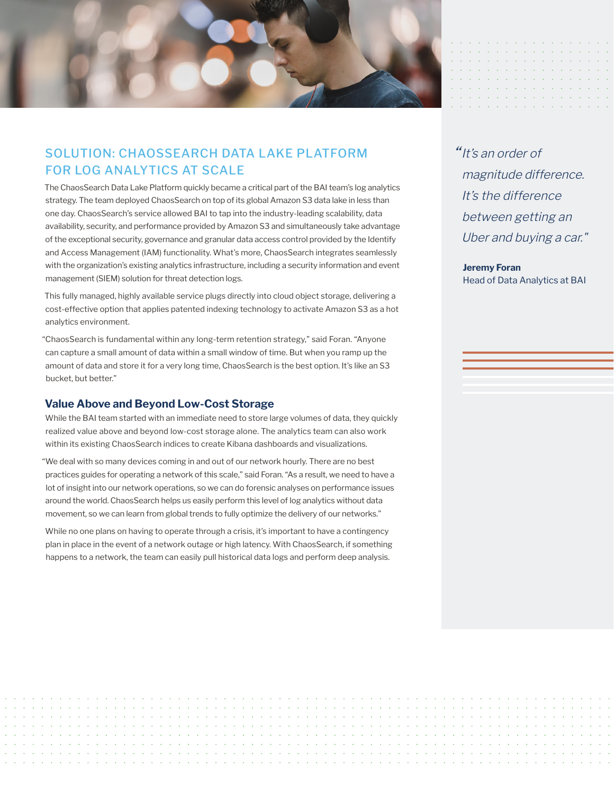

## SOLUTION: CHAOSSEARCH DATA LAKE PLATFORM FOR LOG ANALYTICS AT SCALE

The ChaosSearch Data Lake Platform quickly became a critical part of the BAI team's log analytics strategy. The team deployed ChaosSearch on top of its global Amazon S3 data lake in less than one day. ChaosSearch's service allowed BAI to tap into the industry-leading scalability, data availability, security, and performance provided by Amazon S3 and simultaneously take advantage of the exceptional security, governance and granular data access control provided by the Identify and Access Management (IAM) functionality. What's more, ChaosSearch integrates seamlessly with the organization's existing analytics infrastructure, including a security information and event management (SIEM) solution for threat detection logs.

This fully managed, highly available service plugs directly into cloud object storage, delivering a cost-effective option that applies patented indexing technology to activate Amazon S3 as a hot analytics environment.

"ChaosSearch is fundamental within any long-term retention strategy," said Foran. "Anyone can capture a small amount of data within a small window of time. But when you ramp up the amount of data and store it for a very long time, ChaosSearch is the best option. It's like an S3 bucket, but better."

#### **Value Above and Beyond Low-Cost Storage**

While the BAI team started with an immediate need to store large volumes of data, they quickly realized value above and beyond low-cost storage alone. The analytics team can also work within its existing ChaosSearch indices to create Kibana dashboards and visualizations.

"We deal with so many devices coming in and out of our network hourly. There are no best practices guides for operating a network of this scale," said Foran. "As a result, we need to have a lot of insight into our network operations, so we can do forensic analyses on performance issues around the world. ChaosSearch helps us easily perform this level of log analytics without data movement, so we can learn from global trends to fully optimize the delivery of our networks."

While no one plans on having to operate through a crisis, it's important to have a contingency plan in place in the event of a network outage or high latency. With ChaosSearch, if something happens to a network, the team can easily pull historical data logs and perform deep analysis.

"It's an order of magnitude difference. It's the difference between getting an Uber and buying a car."

**Jeremy Foran** Head of Data Analytics at BAI